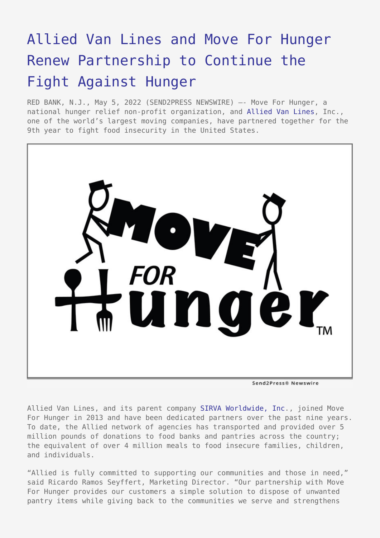## [Allied Van Lines and Move For Hunger](https://www.send2press.com/wire/allied-van-lines-and-move-for-hunger-renew-partnership-to-continue-the-fight-against-hunger/) [Renew Partnership to Continue the](https://www.send2press.com/wire/allied-van-lines-and-move-for-hunger-renew-partnership-to-continue-the-fight-against-hunger/) [Fight Against Hunger](https://www.send2press.com/wire/allied-van-lines-and-move-for-hunger-renew-partnership-to-continue-the-fight-against-hunger/)

RED BANK, N.J., May 5, 2022 (SEND2PRESS NEWSWIRE) –- Move For Hunger, a national hunger relief non-profit organization, and [Allied Van Lines,](https://www.allied.com/) Inc., one of the world's largest moving companies, have partnered together for the 9th year to fight food insecurity in the United States.



Allied Van Lines, and its parent company [SIRVA Worldwide, Inc](https://www.sirva.com/)., joined Move For Hunger in 2013 and have been dedicated partners over the past nine years. To date, the Allied network of agencies has transported and provided over 5 million pounds of donations to food banks and pantries across the country; the equivalent of over 4 million meals to food insecure families, children, and individuals.

"Allied is fully committed to supporting our communities and those in need," said Ricardo Ramos Seyffert, Marketing Director. "Our partnership with Move For Hunger provides our customers a simple solution to dispose of unwanted pantry items while giving back to the communities we serve and strengthens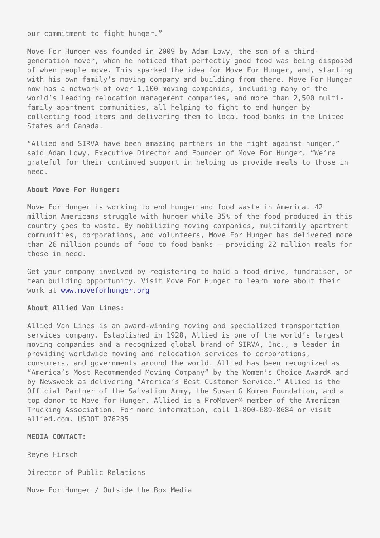our commitment to fight hunger."

Move For Hunger was founded in 2009 by Adam Lowy, the son of a thirdgeneration mover, when he noticed that perfectly good food was being disposed of when people move. This sparked the idea for Move For Hunger, and, starting with his own family's moving company and building from there. Move For Hunger now has a network of over 1,100 moving companies, including many of the world's leading relocation management companies, and more than 2,500 multifamily apartment communities, all helping to fight to end hunger by collecting food items and delivering them to local food banks in the United States and Canada.

"Allied and SIRVA have been amazing partners in the fight against hunger," said Adam Lowy, Executive Director and Founder of Move For Hunger. "We're grateful for their continued support in helping us provide meals to those in need.

## **About Move For Hunger:**

Move For Hunger is working to end hunger and food waste in America. 42 million Americans struggle with hunger while 35% of the food produced in this country goes to waste. By mobilizing moving companies, multifamily apartment communities, corporations, and volunteers, Move For Hunger has delivered more than 26 million pounds of food to food banks – providing 22 million meals for those in need.

Get your company involved by registering to hold a food drive, fundraiser, or team building opportunity. Visit Move For Hunger to learn more about their work at [www.moveforhunger.org](http://www.moveforhunger.org/)

## **About Allied Van Lines:**

Allied Van Lines is an award-winning moving and specialized transportation services company. Established in 1928, Allied is one of the world's largest moving companies and a recognized global brand of SIRVA, Inc., a leader in providing worldwide moving and relocation services to corporations, consumers, and governments around the world. Allied has been recognized as "America's Most Recommended Moving Company" by the Women's Choice Award® and by Newsweek as delivering "America's Best Customer Service." Allied is the Official Partner of the Salvation Army, the Susan G Komen Foundation, and a top donor to Move for Hunger. Allied is a ProMover® member of the American Trucking Association. For more information, call 1-800-689-8684 or visit allied.com. USDOT 076235

**MEDIA CONTACT:**

Reyne Hirsch

Director of Public Relations

Move For Hunger / Outside the Box Media